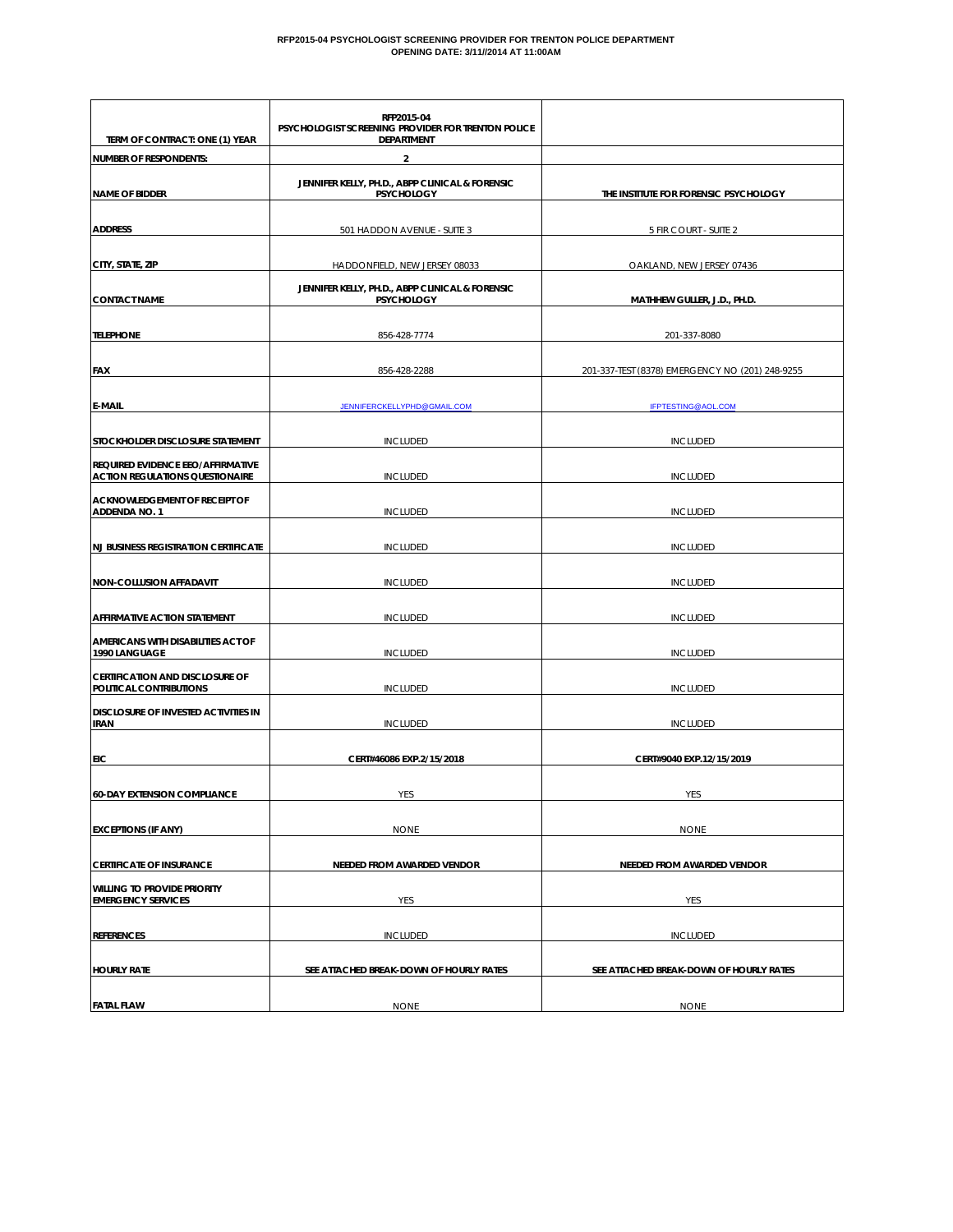#### **RFP2015-04 PSYCHOLOGIST SCREENING PROVIDER FOR TRENTON POLICE DEPARTMENT OPENING DATE: 3/11//2014 AT 11:00AM**

|                                                                             | RFP2015-04<br>PSYCHOLOGIST SCREENING PROVIDER FOR TRENTON POLICE     |                                                 |
|-----------------------------------------------------------------------------|----------------------------------------------------------------------|-------------------------------------------------|
| TERM OF CONTRACT: ONE (1) YEAR                                              | <b>DEPARTMENT</b>                                                    |                                                 |
| <b>NUMBER OF RESPONDENTS:</b>                                               | $\overline{2}$                                                       |                                                 |
| <b>NAME OF BIDDER</b>                                                       | JENNIFER KELLY, PH.D., ABPP CLINICAL & FORENSIC<br><b>PSYCHOLOGY</b> | THE INSTITUTE FOR FORENSIC PSYCHOLOGY           |
| <b>ADDRESS</b>                                                              | 501 HADDON AVENUE - SUITE 3                                          | 5 FIR COURT - SUITE 2                           |
| CITY, STATE, ZIP                                                            | HADDONFIELD, NEW JERSEY 08033                                        | OAKLAND, NEW JERSEY 07436                       |
| <b>CONTACT NAME</b>                                                         | JENNIFER KELLY, PH.D., ABPP CLINICAL & FORENSIC<br><b>PSYCHOLOGY</b> | MATHHEW GULLER, J.D., PH.D.                     |
| <b>TELEPHONE</b>                                                            | 856-428-7774                                                         | 201-337-8080                                    |
| <b>FAX</b>                                                                  | 856-428-2288                                                         | 201-337-TEST (8378) EMERGENCY NO (201) 248-9255 |
| <b>E-MAIL</b>                                                               | <b>JENNIFERCKELLYPHD@GMAIL.COM</b>                                   | <b>IFPTESTING@AOL.COM</b>                       |
| STOCKHOLDER DISCLOSURE STATEMENT                                            | <b>INCLUDED</b>                                                      | <b>INCLUDED</b>                                 |
| REQUIRED EVIDENCE EEO/AFFIRMATIVE<br><b>ACTION REGULATIONS QUESTIONAIRE</b> | <b>INCLUDED</b>                                                      | <b>INCLUDED</b>                                 |
| <b>ACKNOWLEDGEMENT OF RECEIPT OF</b><br><b>ADDENDA NO. 1</b>                | <b>INCLUDED</b>                                                      | <b>INCLUDED</b>                                 |
| <b>NJ BUSINESS REGISTRATION CERTIFICATE</b>                                 | <b>INCLUDED</b>                                                      | <b>INCLUDED</b>                                 |
| <b>NON-COLLUSION AFFADAVIT</b>                                              | <b>INCLUDED</b>                                                      | <b>INCLUDED</b>                                 |
| AFFIRMATIVE ACTION STATEMENT                                                | <b>INCLUDED</b>                                                      | <b>INCLUDED</b>                                 |
| AMERICANS WITH DISABILITIES ACT OF<br>1990 LANGUAGE                         | <b>INCLUDED</b>                                                      | <b>INCLUDED</b>                                 |
| <b>CERTIFICATION AND DISCLOSURE OF</b><br>POLITICAL CONTRIBUTIONS           | <b>INCLUDED</b>                                                      | <b>INCLUDED</b>                                 |
| DISCLOSURE OF INVESTED ACTIVITIES IN<br><b>IRAN</b>                         | <b>INCLUDED</b>                                                      | <b>INCLUDED</b>                                 |
| EIC                                                                         | CERT#46086 EXP.2/15/2018                                             | CERT#9040 EXP.12/15/2019                        |
| <b>60-DAY EXTENSION COMPLIANCE</b>                                          | YES                                                                  | YES                                             |
| <b>EXCEPTIONS (IF ANY)</b>                                                  | <b>NONE</b>                                                          | <b>NONE</b>                                     |
| <b>CERTIFICATE OF INSURANCE</b>                                             | NEEDED FROM AWARDED VENDOR                                           | <b>NEEDED FROM AWARDED VENDOR</b>               |
| <b>WILLING TO PROVIDE PRIORITY</b><br><b>EMERGENCY SERVICES</b>             | YES                                                                  | YES                                             |
| <b>REFERENCES</b>                                                           | <b>INCLUDED</b>                                                      | <b>INCLUDED</b>                                 |
| <b>HOURLY RATE</b>                                                          | SEE ATTACHED BREAK-DOWN OF HOURLY RATES                              | SEE ATTACHED BREAK-DOWN OF HOURLY RATES         |
| <b>FATAL FLAW</b>                                                           | <b>NONE</b>                                                          | <b>NONE</b>                                     |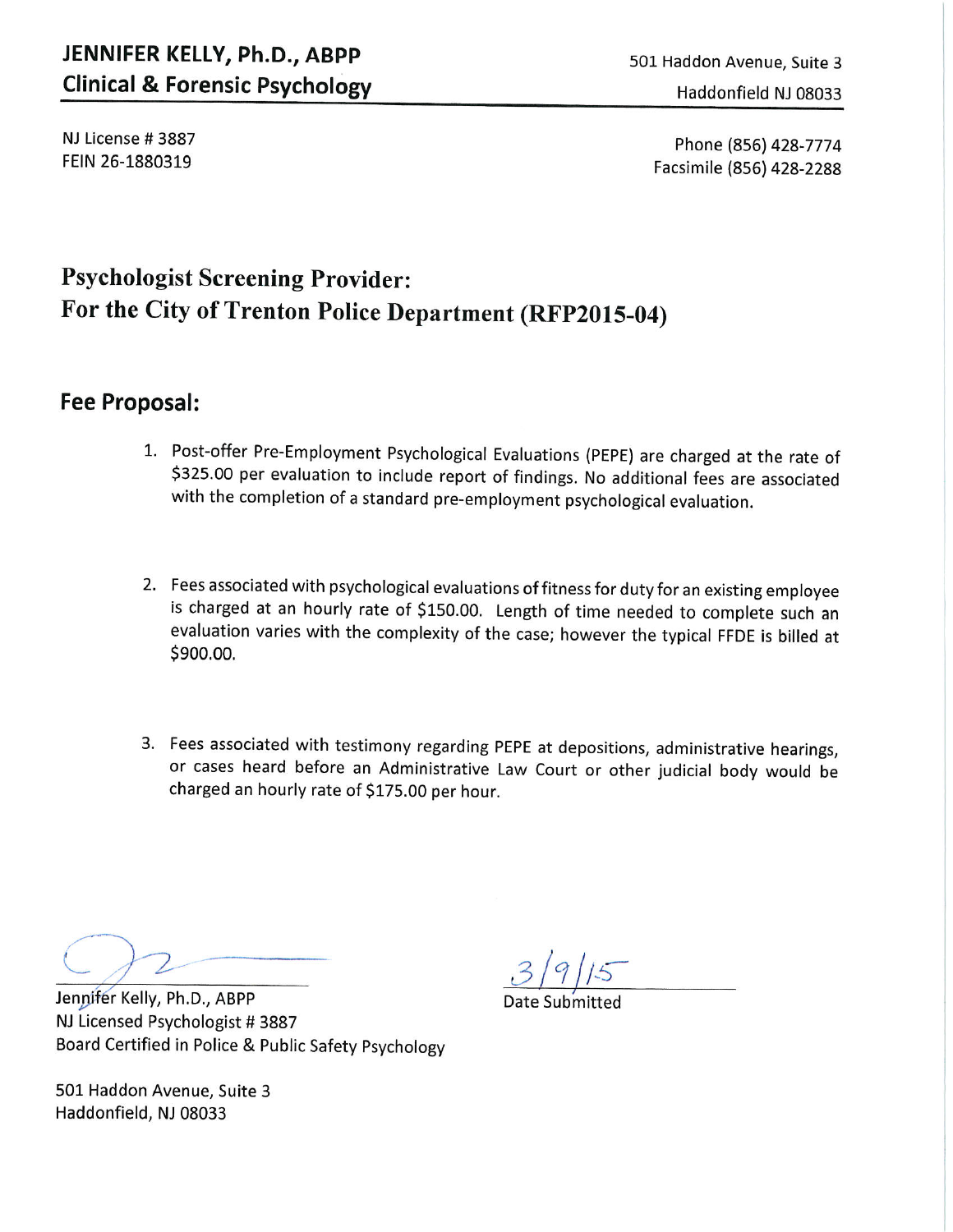# JENNIFER KELLY, Ph.D., ABPP **Clinical & Forensic Psychology**

501 Haddon Avenue, Suite 3 Haddonfield NJ 08033

NJ License #3887 FEIN 26-1880319

Phone (856) 428-7774 Facsimile (856) 428-2288

# **Psychologist Screening Provider:** For the City of Trenton Police Department (RFP2015-04)

## **Fee Proposal:**

- 1. Post-offer Pre-Employment Psychological Evaluations (PEPE) are charged at the rate of \$325.00 per evaluation to include report of findings. No additional fees are associated with the completion of a standard pre-employment psychological evaluation.
- 2. Fees associated with psychological evaluations of fitness for duty for an existing employee is charged at an hourly rate of \$150.00. Length of time needed to complete such an evaluation varies with the complexity of the case; however the typical FFDE is billed at \$900.00.
- 3. Fees associated with testimony regarding PEPE at depositions, administrative hearings, or cases heard before an Administrative Law Court or other judicial body would be charged an hourly rate of \$175.00 per hour.

 $3/9/15$ 

Jennifer Kelly, Ph.D., ABPP NJ Licensed Psychologist #3887 Board Certified in Police & Public Safety Psychology

501 Haddon Avenue, Suite 3 Haddonfield, NJ 08033